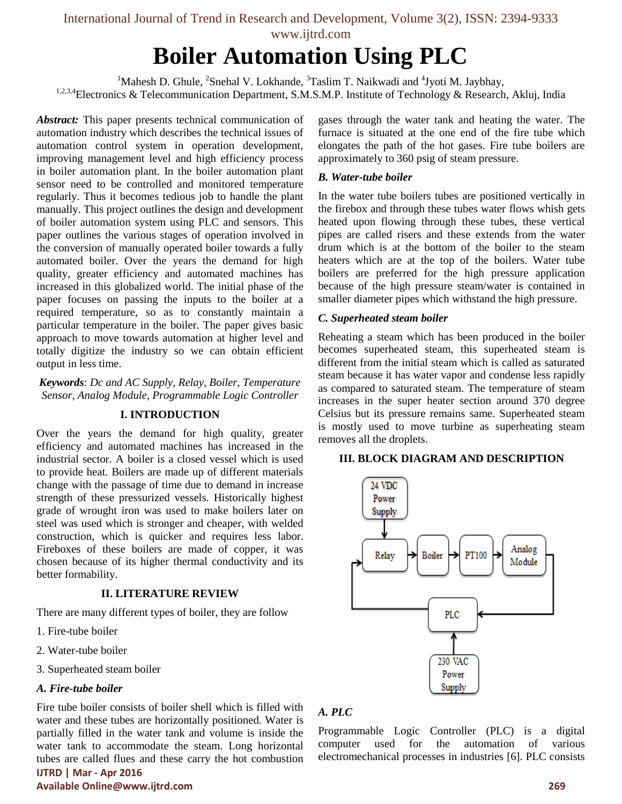# **Boiler Automation Using PLC**

<sup>1</sup>Mahesh D. Ghule, <sup>2</sup>Snehal V. Lokhande,  $3$ Taslim T. Naikwadi and  $4$ Jyoti M. Jaybhay, <sup>1,2,3,4</sup>Electronics & Telecommunication Department, S.M.S.M.P. Institute of Technology & Research, Akluj, India

*Abstract:* This paper presents technical communication of automation industry which describes the technical issues of automation control system in operation development, improving management level and high efficiency process in boiler automation plant. In the boiler automation plant sensor need to be controlled and monitored temperature regularly. Thus it becomes tedious job to handle the plant manually. This project outlines the design and development of boiler automation system using PLC and sensors. This paper outlines the various stages of operation involved in the conversion of manually operated boiler towards a fully automated boiler. Over the years the demand for high quality, greater efficiency and automated machines has increased in this globalized world. The initial phase of the paper focuses on passing the inputs to the boiler at a required temperature, so as to constantly maintain a particular temperature in the boiler. The paper gives basic approach to move towards automation at higher level and totally digitize the industry so we can obtain efficient output in less time.

*Keywords*: *Dc and AC Supply, Relay, Boiler, Temperature Sensor, Analog Module, Programmable Logic Controller*

#### **I. INTRODUCTION**

Over the years the demand for high quality, greater efficiency and automated machines has increased in the industrial sector. A boiler is a closed vessel which is used to provide heat. Boilers are made up of different materials change with the passage of time due to demand in increase strength of these pressurized vessels. Historically highest grade of wrought iron was used to make boilers later on steel was used which is stronger and cheaper, with welded construction, which is quicker and requires less labor. Fireboxes of these boilers are made of copper, it was chosen because of its higher thermal conductivity and its better formability.

#### **II. LITERATURE REVIEW**

There are many different types of boiler, they are follow

- 1. Fire-tube boiler
- 2. Water-tube boiler
- 3. Superheated steam boiler

## *A. Fire-tube boiler*

Fire tube boiler consists of boiler shell which is filled with water and these tubes are horizontally positioned. Water is partially filled in the water tank and volume is inside the water tank to accommodate the steam. Long horizontal tubes are called flues and these carry the hot combustion

**IJTRD | Mar - Apr 2016 Available Online@www.ijtrd.com 269**

gases through the water tank and heating the water. The furnace is situated at the one end of the fire tube which elongates the path of the hot gases. Fire tube boilers are approximately to 360 psig of steam pressure.

## *B. Water-tube boiler*

In the water tube boilers tubes are positioned vertically in the firebox and through these tubes water flows whish gets heated upon flowing through these tubes, these vertical pipes are called risers and these extends from the water drum which is at the bottom of the boiler to the steam heaters which are at the top of the boilers. Water tube boilers are preferred for the high pressure application because of the high pressure steam/water is contained in smaller diameter pipes which withstand the high pressure.

## *C. Superheated steam boiler*

Reheating a steam which has been produced in the boiler becomes superheated steam, this superheated steam is different from the initial steam which is called as saturated steam because it has water vapor and condense less rapidly as compared to saturated steam. The temperature of steam increases in the super heater section around 370 degree Celsius but its pressure remains same. Superheated steam is mostly used to move turbine as superheating steam removes all the droplets.

#### **III. BLOCK DIAGRAM AND DESCRIPTION**



## *A. PLC*

Programmable Logic Controller (PLC) is a digital computer used for the automation of various electromechanical processes in industries [6]. PLC consists